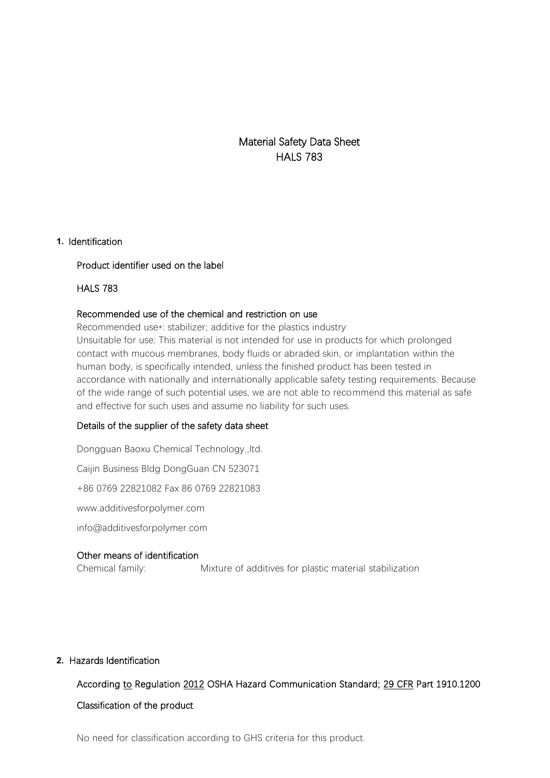Material Safety Data Sheet HALS 783

#### **1.** Identification

#### Product identifier used on the label

#### HALS 783

#### Recommended use of the chemical and restriction on use

Recommended use\*: stabilizer; additive for the plastics industry Unsuitable for use: This material is not intended for use in products for which prolonged contact with mucous membranes, body fluids or abraded skin, or implantation within the human body, is specifically intended, unless the finished product has been tested in accordance with nationally and internationally applicable safety testing requirements. Because of the wide range of such potential uses, we are not able to recommend this material as safe and effective for such uses and assume no liability for such uses.

#### Details of the supplier of the safety data sheet

Dongguan Baoxu Chemical Technology.,ltd. Caijin Business Bldg DongGuan CN 523071 +86 0769 22821082 Fax 86 0769 22821083 www.additivesforpolymer.com info@additivesforpolymer.com

#### Other means of identification

Chemical family: Mixture of additives for plastic material stabilization

#### **2.** Hazards Identification

## According to Regulation 2012 OSHA Hazard Communication Standard; 29 CFR Part 1910.1200 Classification of the product

No need for classification according to GHS criteria for this product.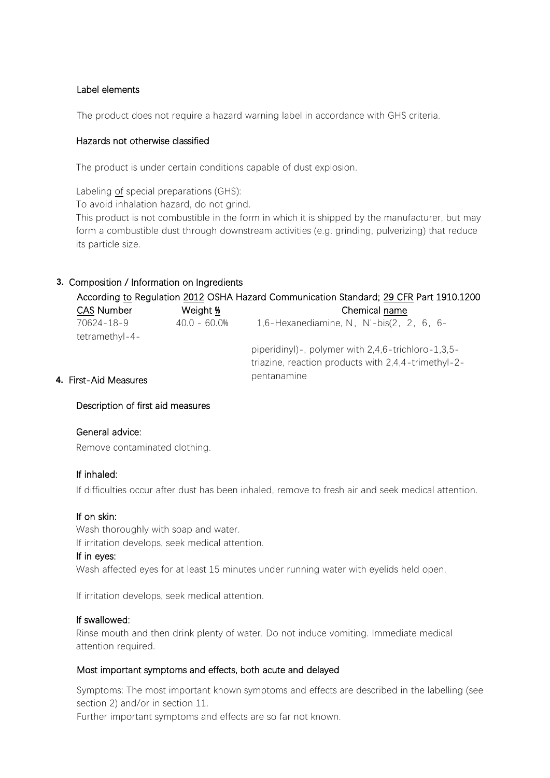### Label elements

The product does not require a hazard warning label in accordance with GHS criteria.

#### Hazards not otherwise classified

The product is under certain conditions capable of dust explosion.

Labeling of special preparations (GHS):

To avoid inhalation hazard, do not grind.

This product is not combustible in the form in which it is shipped by the manufacturer, but may form a combustible dust through downstream activities (e.g. grinding, pulverizing) that reduce its particle size.

## **3.** Composition / Information on Ingredients

|                   |              | According to Regulation 2012 OSHA Hazard Communication Standard; 29 CFR Part 1910.1200 |
|-------------------|--------------|----------------------------------------------------------------------------------------|
| <b>CAS Number</b> | Weight %     | Chemical name                                                                          |
| 70624-18-9        | 40.0 - 60.0% | 1,6-Hexanediamine, N, N'-bis $(2, 2, 6, 6-$                                            |
| tetramethyl-4-    |              |                                                                                        |
|                   |              | piperidinyl)-, polymer with 2,4,6-trichloro-1,3,5-                                     |
|                   |              | triazine, reaction products with 2,4,4-trimethyl-2-                                    |
|                   |              | pontanamino                                                                            |

## pentanamine **4.** First-Aid Measures

Description of first aid measures

#### General advice:

Remove contaminated clothing.

#### If inhaled:

If difficulties occur after dust has been inhaled, remove to fresh air and seek medical attention.

#### If on skin:

Wash thoroughly with soap and water. If irritation develops, seek medical attention.

#### If in eyes:

Wash affected eyes for at least 15 minutes under running water with eyelids held open.

If irritation develops, seek medical attention.

#### If swallowed:

Rinse mouth and then drink plenty of water. Do not induce vomiting. Immediate medical attention required.

### Most important symptoms and effects, both acute and delayed

Symptoms: The most important known symptoms and effects are described in the labelling (see section 2) and/or in section 11.

Further important symptoms and effects are so far not known.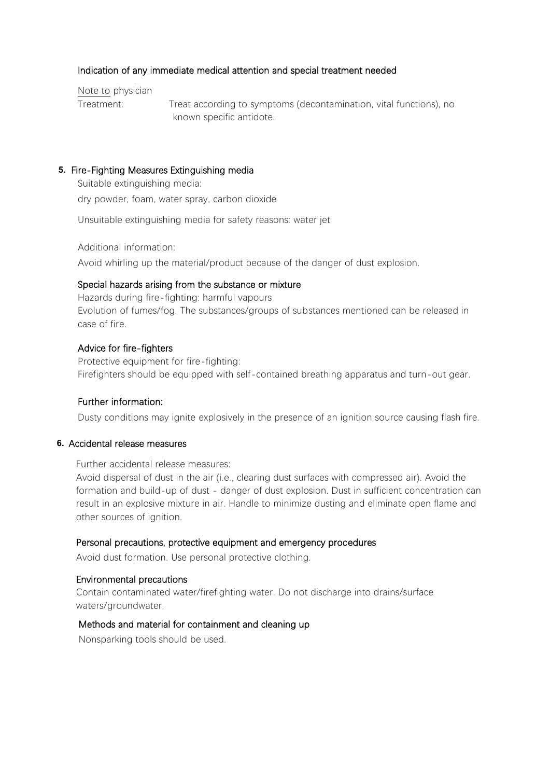#### Indication of any immediate medical attention and special treatment needed

Note to physician

Treatment: Treat according to symptoms (decontamination, vital functions), no known specific antidote.

#### **5.** Fire-Fighting Measures Extinguishing media

Suitable extinguishing media: dry powder, foam, water spray, carbon dioxide

Unsuitable extinguishing media for safety reasons: water jet

Additional information:

Avoid whirling up the material/product because of the danger of dust explosion.

#### Special hazards arising from the substance or mixture

Hazards during fire-fighting: harmful vapours Evolution of fumes/fog. The substances/groups of substances mentioned can be released in case of fire.

#### Advice for fire-fighters

Protective equipment for fire-fighting: Firefighters should be equipped with self-contained breathing apparatus and turn-out gear.

#### Further information:

Dusty conditions may ignite explosively in the presence of an ignition source causing flash fire.

#### **6.** Accidental release measures

Further accidental release measures:

Avoid dispersal of dust in the air (i.e., clearing dust surfaces with compressed air). Avoid the formation and build-up of dust - danger of dust explosion. Dust in sufficient concentration can result in an explosive mixture in air. Handle to minimize dusting and eliminate open flame and other sources of ignition.

#### Personal precautions, protective equipment and emergency procedures

Avoid dust formation. Use personal protective clothing.

#### Environmental precautions

Contain contaminated water/firefighting water. Do not discharge into drains/surface waters/groundwater.

#### Methods and material for containment and cleaning up

Nonsparking tools should be used.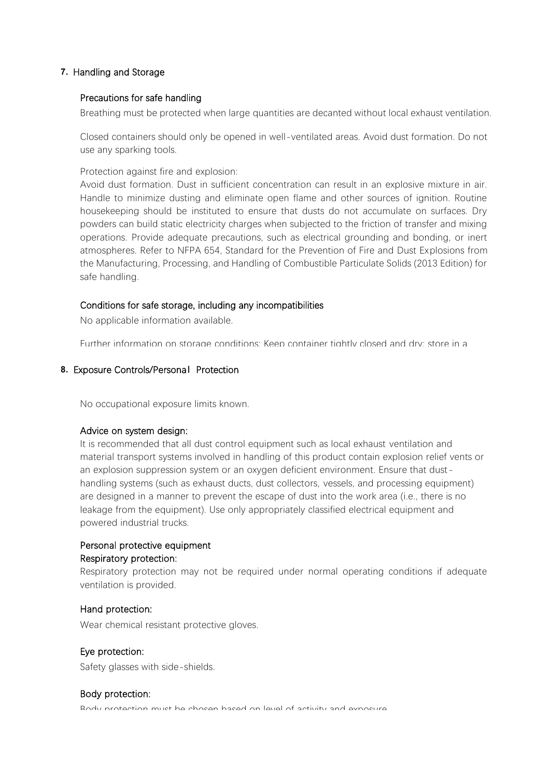#### **7.** Handling and Storage

#### Precautions for safe handling

Breathing must be protected when large quantities are decanted without local exhaust ventilation.

Closed containers should only be opened in well-ventilated areas. Avoid dust formation. Do not use any sparking tools.

Protection against fire and explosion:

Avoid dust formation. Dust in sufficient concentration can result in an explosive mixture in air. Handle to minimize dusting and eliminate open flame and other sources of ignition. Routine housekeeping should be instituted to ensure that dusts do not accumulate on surfaces. Dry powders can build static electricity charges when subjected to the friction of transfer and mixing operations. Provide adequate precautions, such as electrical grounding and bonding, or inert atmospheres. Refer to NFPA 654, Standard for the Prevention of Fire and Dust Explosions from the Manufacturing, Processing, and Handling of Combustible Particulate Solids (2013 Edition) for safe handling.

#### Conditions for safe storage, including any incompatibilities

No applicable information available.

Further information on storage conditions: Keep container tightly closed and dry; store in a

#### **8.** Exposure Controls/Personal Protection

No occupational exposure limits known.

#### Advice on system design:

It is recommended that all dust control equipment such as local exhaust ventilation and material transport systems involved in handling of this product contain explosion relief vents or an explosion suppression system or an oxygen deficient environment. Ensure that dusthandling systems (such as exhaust ducts, dust collectors, vessels, and processing equipment) are designed in a manner to prevent the escape of dust into the work area (i.e., there is no leakage from the equipment). Use only appropriately classified electrical equipment and powered industrial trucks.

## Personal protective equipment Respiratory protection:

Respiratory protection may not be required under normal operating conditions if adequate ventilation is provided.

#### Hand protection:

Wear chemical resistant protective gloves.

### Eye protection:

Safety glasses with side-shields.

#### Body protection:

Rody protection must be chosen based on level of activity and exposure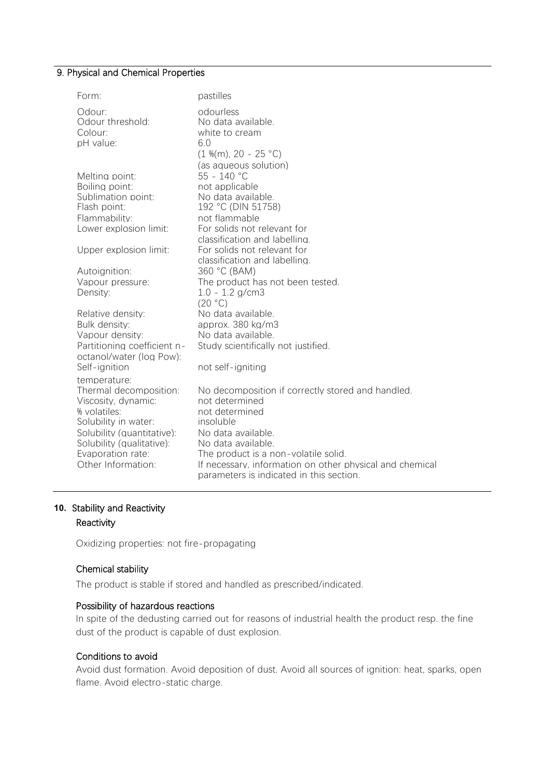## 9. Physical and Chemical Properties

| Form:                                                                                                                                                                                       | pastilles                                                                                                                                                                                                                                                                                      |
|---------------------------------------------------------------------------------------------------------------------------------------------------------------------------------------------|------------------------------------------------------------------------------------------------------------------------------------------------------------------------------------------------------------------------------------------------------------------------------------------------|
| Odour:<br>Odour threshold:<br>Colour:<br>pH value:                                                                                                                                          | odourless<br>No data available.<br>white to cream<br>6.0<br>$(1\%$ (m), 20 - 25 °C)<br>(as aqueous solution)                                                                                                                                                                                   |
| Meltina point:<br>Boiling point:<br>Sublimation point:<br>Flash point:<br>Flammability:                                                                                                     | 55 - 140 °C<br>not applicable<br>No data available.<br>192 °C (DIN 51758)<br>not flammable                                                                                                                                                                                                     |
| Lower explosion limit:                                                                                                                                                                      | For solids not relevant for<br>classification and labelling.                                                                                                                                                                                                                                   |
| Upper explosion limit:                                                                                                                                                                      | For solids not relevant for<br>classification and labelling.                                                                                                                                                                                                                                   |
| Autoignition:                                                                                                                                                                               | 360 °C (BAM)                                                                                                                                                                                                                                                                                   |
| Vapour pressure:<br>Density:                                                                                                                                                                | The product has not been tested.<br>$1.0 - 1.2$ g/cm3<br>(20 °C)                                                                                                                                                                                                                               |
| Relative density:<br>Bulk density:<br>Vapour density:<br>Partitioning coefficient n-<br>octanol/water (log Pow):<br>Self-ignition                                                           | No data available.<br>approx. 380 kg/m3<br>No data available.<br>Study scientifically not justified.<br>not self-igniting                                                                                                                                                                      |
| temperature:                                                                                                                                                                                |                                                                                                                                                                                                                                                                                                |
| Thermal decomposition:<br>Viscosity, dynamic:<br>% volatiles:<br>Solubility in water:<br>Solubility (quantitative):<br>Solubility (qualitative):<br>Evaporation rate:<br>Other Information: | No decomposition if correctly stored and handled.<br>not determined<br>not determined<br>insoluble<br>No data available.<br>No data available.<br>The product is a non-volatile solid.<br>If necessary, information on other physical and chemical<br>parameters is indicated in this section. |

## **10.** Stability and Reactivity

## Reactivity

Oxidizing properties: not fire-propagating

#### Chemical stability

The product is stable if stored and handled as prescribed/indicated.

### Possibility of hazardous reactions

In spite of the dedusting carried out for reasons of industrial health the product resp. the fine dust of the product is capable of dust explosion.

#### Conditions to avoid

Avoid dust formation. Avoid deposition of dust. Avoid all sources of ignition: heat, sparks, open flame. Avoid electro-static charge.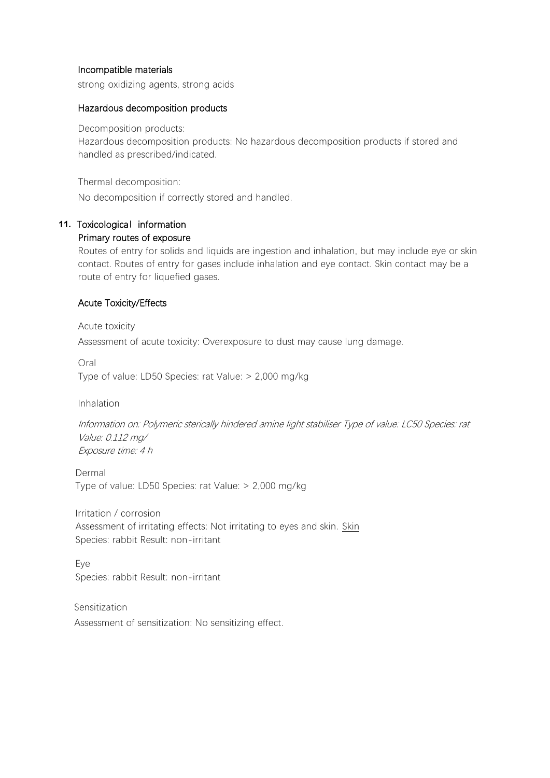#### Incompatible materials

strong oxidizing agents, strong acids

#### Hazardous decomposition products

Decomposition products:

Hazardous decomposition products: No hazardous decomposition products if stored and handled as prescribed/indicated.

Thermal decomposition:

No decomposition if correctly stored and handled.

# **11.** Toxicological information

## Primary routes of exposure

Routes of entry for solids and liquids are ingestion and inhalation, but may include eye or skin contact. Routes of entry for gases include inhalation and eye contact. Skin contact may be a route of entry for liquefied gases.

### Acute Toxicity/Effects

Acute toxicity Assessment of acute toxicity: Overexposure to dust may cause lung damage.

Oral Type of value: LD50 Species: rat Value: > 2,000 mg/kg

Inhalation

Information on: Polymeric sterically hindered amine light stabiliser Type of value: LC50 Species: rat Value: 0.112 mg/ Exposure time: 4 h

Dermal Type of value: LD50 Species: rat Value: > 2,000 mg/kg

Irritation / corrosion Assessment of irritating effects: Not irritating to eyes and skin. Skin Species: rabbit Result: non-irritant

Eye Species: rabbit Result: non-irritant

Sensitization Assessment of sensitization: No sensitizing effect.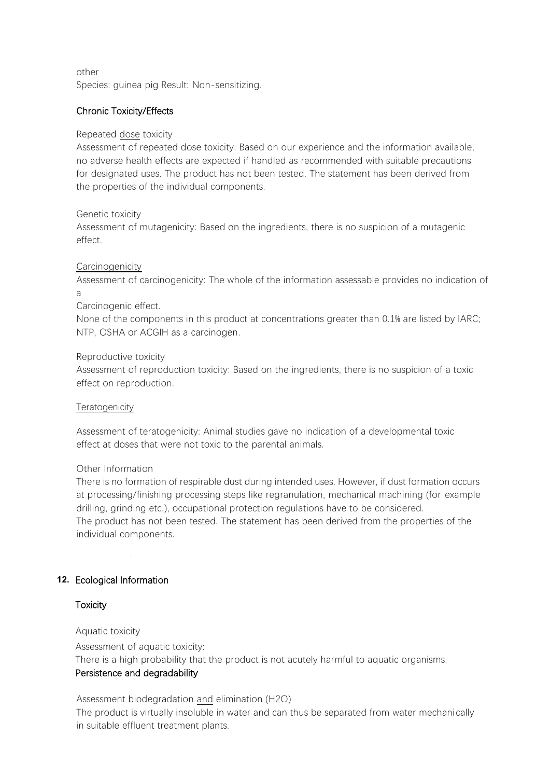other Species: guinea pig Result: Non-sensitizing.

### Chronic Toxicity/Effects

#### Repeated dose toxicity

Assessment of repeated dose toxicity: Based on our experience and the information available, no adverse health effects are expected if handled as recommended with suitable precautions for designated uses. The product has not been tested. The statement has been derived from the properties of the individual components.

#### Genetic toxicity

Assessment of mutagenicity: Based on the ingredients, there is no suspicion of a mutagenic effect.

#### Carcinogenicity

Assessment of carcinogenicity: The whole of the information assessable provides no indication of a

#### Carcinogenic effect.

None of the components in this product at concentrations greater than 0.1% are listed by IARC; NTP, OSHA or ACGIH as a carcinogen.

#### Reproductive toxicity

Assessment of reproduction toxicity: Based on the ingredients, there is no suspicion of a toxic effect on reproduction.

#### **Teratogenicity**

Assessment of teratogenicity: Animal studies gave no indication of a developmental toxic effect at doses that were not toxic to the parental animals.

### Other Information

There is no formation of respirable dust during intended uses. However, if dust formation occurs at processing/finishing processing steps like regranulation, mechanical machining (for example drilling, grinding etc.), occupational protection regulations have to be considered. The product has not been tested. The statement has been derived from the properties of the individual components.

## **12.** Ecological Information **and effects are described in the labelling (see section 2) in the labelling (see section 2) in the labelling (see section 2) in the labelling (see section 2) in the labelling (see section 2) i**

#### and/or in section 11. Function symptoms and effects are so far not known. The symptoms are so far not known. The so far not known. **Toxicity**

#### Aquatic toxicity

Assessment of aquatic toxicity:

There is a high probability that the product is not acutely harmful to aquatic organisms.

### Persistence and degradability

Assessment biodegradation and elimination (H2O) The product is virtually insoluble in water and can thus be separated from water mechanically in suitable effluent treatment plants.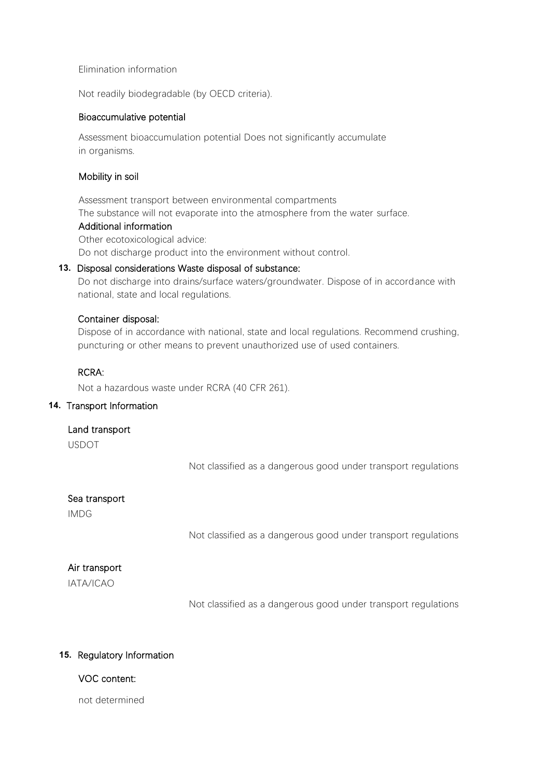#### Elimination information

Not readily biodegradable (by OECD criteria).

#### Bioaccumulative potential

Assessment bioaccumulation potential Does not significantly accumulate in organisms.

### Mobility in soil

Assessment transport between environmental compartments The substance will not evaporate into the atmosphere from the water surface.

#### Additional information

Other ecotoxicological advice: Do not discharge product into the environment without control.

### **13.** Disposal considerations Waste disposal of substance:

Do not discharge into drains/surface waters/groundwater. Dispose of in accordance with national, state and local regulations.

### Container disposal:

Dispose of in accordance with national, state and local regulations. Recommend crushing, puncturing or other means to prevent unauthorized use of used containers.

#### RCRA:

Not a hazardous waste under RCRA (40 CFR 261).

### **14.** Transport Information

#### Land transport

USDOT

Not classified as a dangerous good under transport regulations

### Sea transport

IMDG

Not classified as a dangerous good under transport regulations

### Air transport

IATA/ICAO

Not classified as a dangerous good under transport regulations

### **15.** Regulatory Information

### VOC content:

not determined